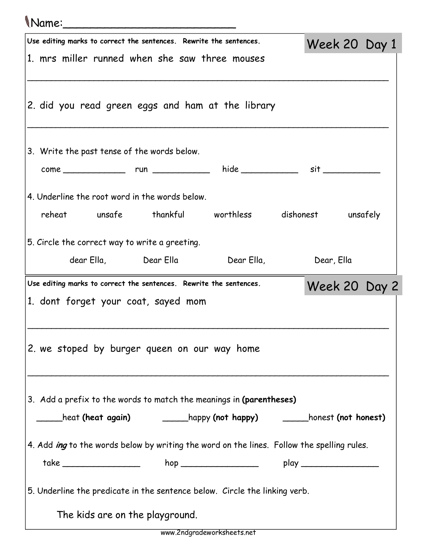## Name:\_\_\_\_\_\_\_\_\_\_\_\_\_\_\_\_\_\_\_\_\_\_\_\_\_

|                                                                                  |  |                                                | Use editing marks to correct the sentences. Rewrite the sentences.                                                                                                                                                             |  | Week 20 Day 1 |  |  |  |
|----------------------------------------------------------------------------------|--|------------------------------------------------|--------------------------------------------------------------------------------------------------------------------------------------------------------------------------------------------------------------------------------|--|---------------|--|--|--|
| 1. mrs miller runned when she saw three mouses                                   |  |                                                |                                                                                                                                                                                                                                |  |               |  |  |  |
|                                                                                  |  |                                                |                                                                                                                                                                                                                                |  |               |  |  |  |
|                                                                                  |  |                                                | 2. did you read green eggs and ham at the library                                                                                                                                                                              |  |               |  |  |  |
|                                                                                  |  |                                                |                                                                                                                                                                                                                                |  |               |  |  |  |
|                                                                                  |  |                                                |                                                                                                                                                                                                                                |  |               |  |  |  |
|                                                                                  |  | 3. Write the past tense of the words below.    |                                                                                                                                                                                                                                |  |               |  |  |  |
|                                                                                  |  |                                                |                                                                                                                                                                                                                                |  |               |  |  |  |
|                                                                                  |  | 4. Underline the root word in the words below. |                                                                                                                                                                                                                                |  |               |  |  |  |
|                                                                                  |  |                                                | reheat unsafe thankful worthless dishonest unsafely                                                                                                                                                                            |  |               |  |  |  |
|                                                                                  |  |                                                |                                                                                                                                                                                                                                |  |               |  |  |  |
|                                                                                  |  | 5. Circle the correct way to write a greeting. |                                                                                                                                                                                                                                |  |               |  |  |  |
|                                                                                  |  |                                                | Dear Ella, compared to the set of the set of the set of the set of the set of the set of the set of the set of the set of the set of the set of the set of the set of the set of the set of the set of the set of the set of t |  | Dear, Ella    |  |  |  |
|                                                                                  |  |                                                | Use editing marks to correct the sentences. Rewrite the sentences.                                                                                                                                                             |  | Week 20 Day 2 |  |  |  |
|                                                                                  |  | 1. dont forget your coat, sayed mom            |                                                                                                                                                                                                                                |  |               |  |  |  |
|                                                                                  |  |                                                |                                                                                                                                                                                                                                |  |               |  |  |  |
|                                                                                  |  |                                                |                                                                                                                                                                                                                                |  |               |  |  |  |
|                                                                                  |  |                                                | 2. we stoped by burger queen on our way home                                                                                                                                                                                   |  |               |  |  |  |
|                                                                                  |  |                                                |                                                                                                                                                                                                                                |  |               |  |  |  |
|                                                                                  |  |                                                | 3. Add a prefix to the words to match the meanings in (parentheses)                                                                                                                                                            |  |               |  |  |  |
|                                                                                  |  |                                                |                                                                                                                                                                                                                                |  |               |  |  |  |
|                                                                                  |  |                                                |                                                                                                                                                                                                                                |  |               |  |  |  |
|                                                                                  |  |                                                | 4. Add <i>ing</i> to the words below by writing the word on the lines. Follow the spelling rules.                                                                                                                              |  |               |  |  |  |
| take _____________________   hop _____________________   play __________________ |  |                                                |                                                                                                                                                                                                                                |  |               |  |  |  |
|                                                                                  |  |                                                | 5. Underline the predicate in the sentence below. Circle the linking verb.                                                                                                                                                     |  |               |  |  |  |
|                                                                                  |  |                                                |                                                                                                                                                                                                                                |  |               |  |  |  |
|                                                                                  |  |                                                |                                                                                                                                                                                                                                |  |               |  |  |  |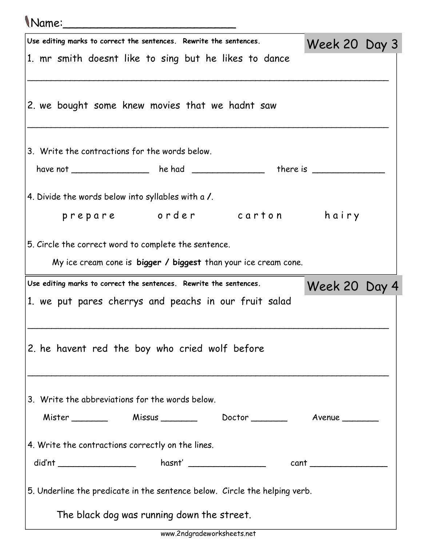## Name:\_\_\_\_\_\_\_\_\_\_\_\_\_\_\_\_\_\_\_\_\_\_\_\_\_

| Use editing marks to correct the sentences. Rewrite the sentences.         | Week 20 Day 3 |  |  |  |  |  |  |  |
|----------------------------------------------------------------------------|---------------|--|--|--|--|--|--|--|
| 1. mr smith doesnt like to sing but he likes to dance                      |               |  |  |  |  |  |  |  |
|                                                                            |               |  |  |  |  |  |  |  |
| 2. we bought some knew movies that we hadnt saw                            |               |  |  |  |  |  |  |  |
|                                                                            |               |  |  |  |  |  |  |  |
|                                                                            |               |  |  |  |  |  |  |  |
| 3. Write the contractions for the words below.                             |               |  |  |  |  |  |  |  |
| have not _________________ he had _______________ there is ___________     |               |  |  |  |  |  |  |  |
|                                                                            |               |  |  |  |  |  |  |  |
| 4. Divide the words below into syllables with a /.                         |               |  |  |  |  |  |  |  |
| prepare order carton hairy                                                 |               |  |  |  |  |  |  |  |
| 5. Circle the correct word to complete the sentence.                       |               |  |  |  |  |  |  |  |
| My ice cream cone is bigger / biggest than your ice cream cone.            |               |  |  |  |  |  |  |  |
| Use editing marks to correct the sentences. Rewrite the sentences.         |               |  |  |  |  |  |  |  |
| 1. we put pares cherrys and peachs in our fruit salad                      | Week 20 Day 4 |  |  |  |  |  |  |  |
|                                                                            |               |  |  |  |  |  |  |  |
|                                                                            |               |  |  |  |  |  |  |  |
|                                                                            |               |  |  |  |  |  |  |  |
| 2. he havent red the boy who cried wolf before                             |               |  |  |  |  |  |  |  |
|                                                                            |               |  |  |  |  |  |  |  |
|                                                                            |               |  |  |  |  |  |  |  |
| 3. Write the abbreviations for the words below.                            |               |  |  |  |  |  |  |  |
| Mister Missus Nissus Doctor Number 2014                                    |               |  |  |  |  |  |  |  |
|                                                                            |               |  |  |  |  |  |  |  |
| 4. Write the contractions correctly on the lines.                          |               |  |  |  |  |  |  |  |
|                                                                            |               |  |  |  |  |  |  |  |
| 5. Underline the predicate in the sentence below. Circle the helping verb. |               |  |  |  |  |  |  |  |
| The black dog was running down the street.                                 |               |  |  |  |  |  |  |  |